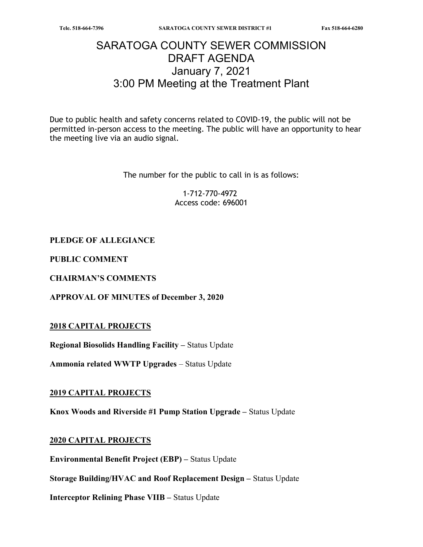# SARATOGA COUNTY SEWER COMMISSION DRAFT AGENDA January 7, 2021 3:00 PM Meeting at the Treatment Plant

Due to public health and safety concerns related to COVID-19, the public will not be permitted in-person access to the meeting. The public will have an opportunity to hear the meeting live via an audio signal.

The number for the public to call in is as follows:

1-712-770-4972 Access code: 696001

### PLEDGE OF ALLEGIANCE

PUBLIC COMMENT

CHAIRMAN'S COMMENTS

APPROVAL OF MINUTES of December 3, 2020

#### 2018 CAPITAL PROJECTS

Regional Biosolids Handling Facility – Status Update

Ammonia related WWTP Upgrades – Status Update

#### 2019 CAPITAL PROJECTS

Knox Woods and Riverside #1 Pump Station Upgrade – Status Update

#### 2020 CAPITAL PROJECTS

Environmental Benefit Project (EBP) – Status Update

Storage Building/HVAC and Roof Replacement Design – Status Update

Interceptor Relining Phase VIIB – Status Update